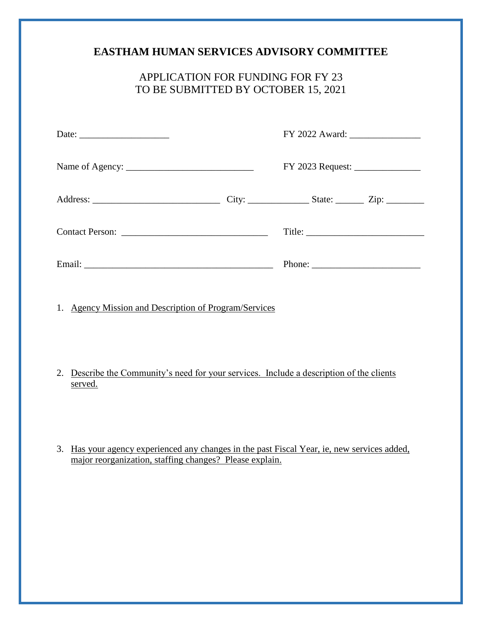## **EASTHAM HUMAN SERVICES ADVISORY COMMITTEE**

## APPLICATION FOR FUNDING FOR FY 23 TO BE SUBMITTED BY OCTOBER 15, 2021

|  | Phone: $\frac{1}{\sqrt{1-\frac{1}{2}}\sqrt{1-\frac{1}{2}}\sqrt{1-\frac{1}{2}}\sqrt{1-\frac{1}{2}}\sqrt{1-\frac{1}{2}}\sqrt{1-\frac{1}{2}}\sqrt{1-\frac{1}{2}}\sqrt{1-\frac{1}{2}}\sqrt{1-\frac{1}{2}}\sqrt{1-\frac{1}{2}}\sqrt{1-\frac{1}{2}}\sqrt{1-\frac{1}{2}}\sqrt{1-\frac{1}{2}}\sqrt{1-\frac{1}{2}}\sqrt{1-\frac{1}{2}}\sqrt{1-\frac{1}{2}}\sqrt{1-\frac{1}{2}}\sqrt{1-\frac{1}{2}}\sqrt{1-\frac{1}{2$ |  |
|--|--------------------------------------------------------------------------------------------------------------------------------------------------------------------------------------------------------------------------------------------------------------------------------------------------------------------------------------------------------------------------------------------------------------|--|

1. Agency Mission and Description of Program/Services

- 2. Describe the Community's need for your services. Include a description of the clients served.
- 3. Has your agency experienced any changes in the past Fiscal Year, ie, new services added, major reorganization, staffing changes? Please explain.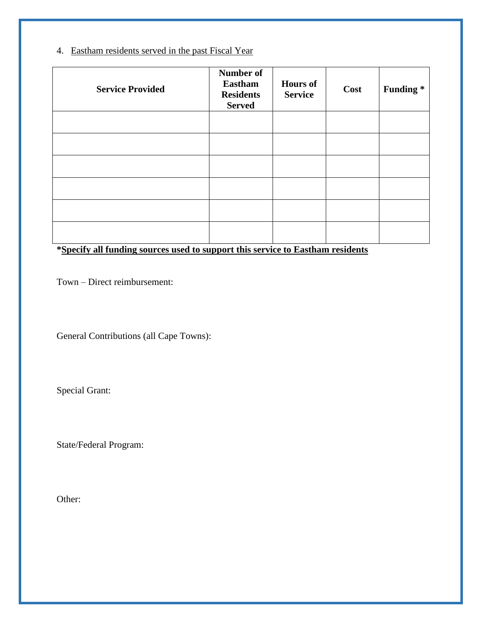## 4. Eastham residents served in the past Fiscal Year

| <b>Service Provided</b> | <b>Number of</b><br><b>Eastham</b><br><b>Residents</b><br><b>Served</b> | <b>Hours of</b><br><b>Service</b> | Cost | Funding* |
|-------------------------|-------------------------------------------------------------------------|-----------------------------------|------|----------|
|                         |                                                                         |                                   |      |          |
|                         |                                                                         |                                   |      |          |
|                         |                                                                         |                                   |      |          |
|                         |                                                                         |                                   |      |          |
|                         |                                                                         |                                   |      |          |
|                         |                                                                         |                                   |      |          |

**\*Specify all funding sources used to support this service to Eastham residents**

Town – Direct reimbursement:

General Contributions (all Cape Towns):

Special Grant:

State/Federal Program:

Other: